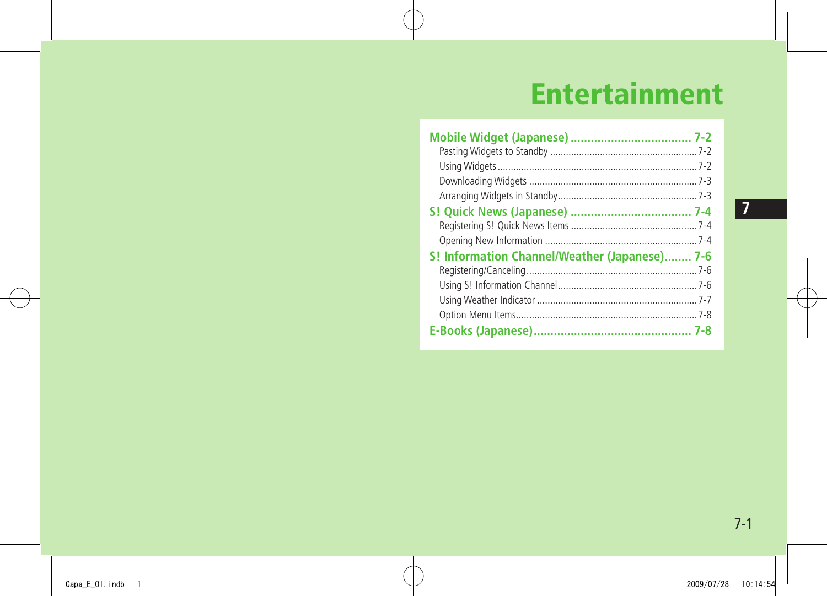# **Entertainment**

| S! Information Channel/Weather (Japanese) 7-6 |  |
|-----------------------------------------------|--|
|                                               |  |
|                                               |  |
|                                               |  |
|                                               |  |
|                                               |  |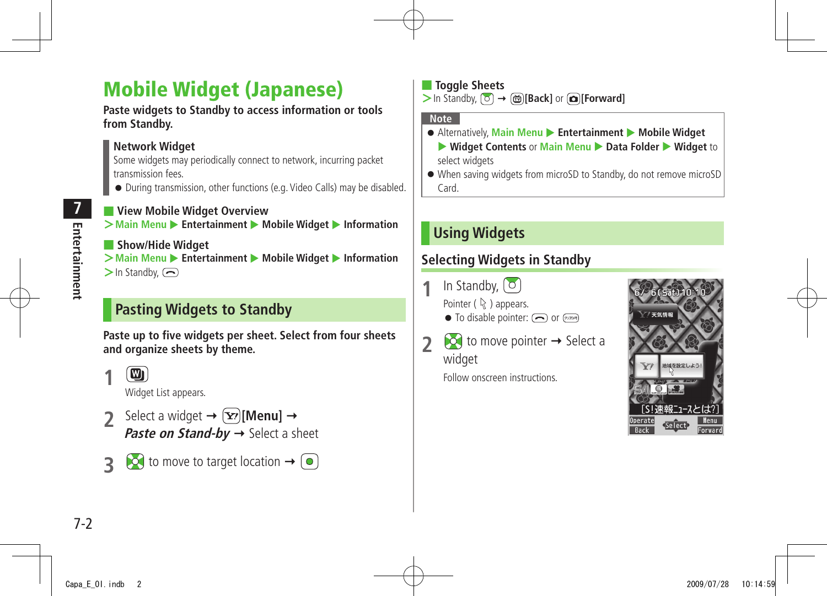## <span id="page-1-0"></span>**Mobile Widget (Japanese)**

**Paste widgets to Standby to access information or tools from Standby.**

### **Network Widget**

Some widgets may periodically connect to network, incurring packet transmission fees.

● During transmission, other functions (e.g. Video Calls) may be disabled.

■ **View Mobile Widget Overview**  $\geq$  Main Menu  $\geq$  **Entertainment**  $\geq$  Mobile Widget  $\geq$  Information

### ■ **Show/Hide Widget**

**>Main Menu ▶ Entertainment ▶ Mobile Widget ▶ Information**  $\geq$ In Standby,  $\left(\overline{\rightarrow}\right)$ 

### **Pasting Widgets to Standby**

**Paste up to five widgets per sheet. Select from four sheets and organize sheets by theme.**

 $\left[\blacksquare\right]$ **1**

Widget List appears.

- Select a widget  $\rightarrow \infty$ **[Menu]**  $\rightarrow$ **Paste on Stand-by**  $\rightarrow$  Select a sheet
- $\overrightarrow{3}$  to move to target location  $\rightarrow$   $\boxed{\bullet}$

**Toggle Sheets >**In Standby, **[Back]** or **[Forward]**

#### **Note**

- Alternatively, Main Menu ▶ Entertainment ▶ Mobile Widget ▶ Widget Contents or Main Menu ▶ Data Folder ▶ Widget to select widgets
- When saving widgets from microSD to Standby, do not remove microSD Card.

### **Using Widgets**

### **Selecting Widgets in Standby**

**1** In Standby,  $\begin{pmatrix} 0 \end{pmatrix}$ 

Pointer ( $\mathbb Q$ ) appears.

- $\bullet$  To disable pointer:  $\circled{=}$  or  $\circled{}=$
- **2**  $\bullet$  to move pointer  $\rightarrow$  Select a widget

Follow onscreen instructions.

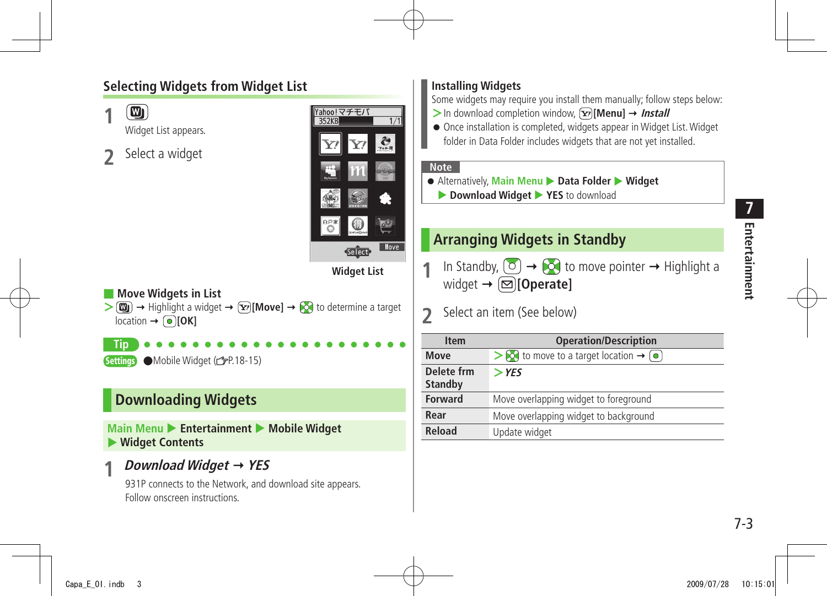### **Selecting Widgets from Widget List**

<span id="page-2-0"></span>

**Installing Widgets**

**Rear** Move overlapping widget to background

**Reload** Update widget

### **Downloading Widgets**

**Main Menu > Entertainment > Mobile Widget** X **Widget Contents**

### **1 Download Widget YES**

931P connects to the Network, and download site appears. Follow onscreen instructions.

**Entertainment**

Entertainment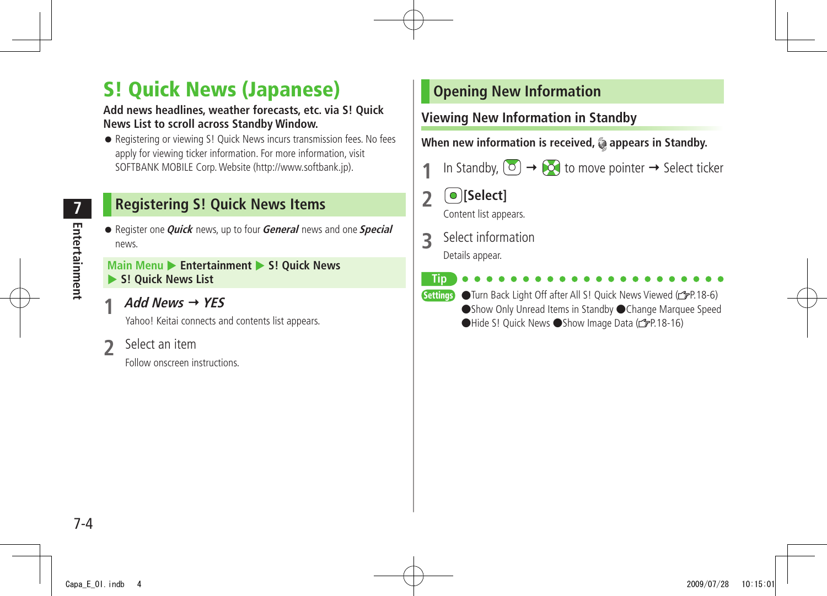## <span id="page-3-0"></span>**S! Quick News (Japanese)**

#### **Add news headlines, weather forecasts, etc. via S! Quick News List to scroll across Standby Window.**

● Registering or viewing S! Quick News incurs transmission fees. No fees apply for viewing ticker information. For more information, visit SOFTBANK MOBILE Corp. Website (http://www.softbank.jp).

### **Registering S! Quick News Items**

● Register one **Quick** news, up to four **General** news and one **Special**  news.

#### **Main Menu > Entertainment > S! Quick News** X **S! Quick News List**

**1 Add News YES**

Yahoo! Keitai connects and contents list appears.

**2** Select an item

Follow onscreen instructions.

### **Opening New Information**

### **Viewing New Information in Standby**

When new information is received, @ appears in Standby.

- In Standby,  $\boxed{\circ}$   $\rightarrow$   $\boxed{\circ}$  to move pointer  $\rightarrow$  Select ticker
- **2 [Select]**

Content list appears.

**3** Select information

Details appear.

**Tip**

- 
- Settings Turn Back Light Off after All S! Quick News Viewed (FP.18-6) ●Show Only Unread Items in Standby ●Change Marquee Speed ●Hide S! Quick News ●Show Image Data ( P.18-16)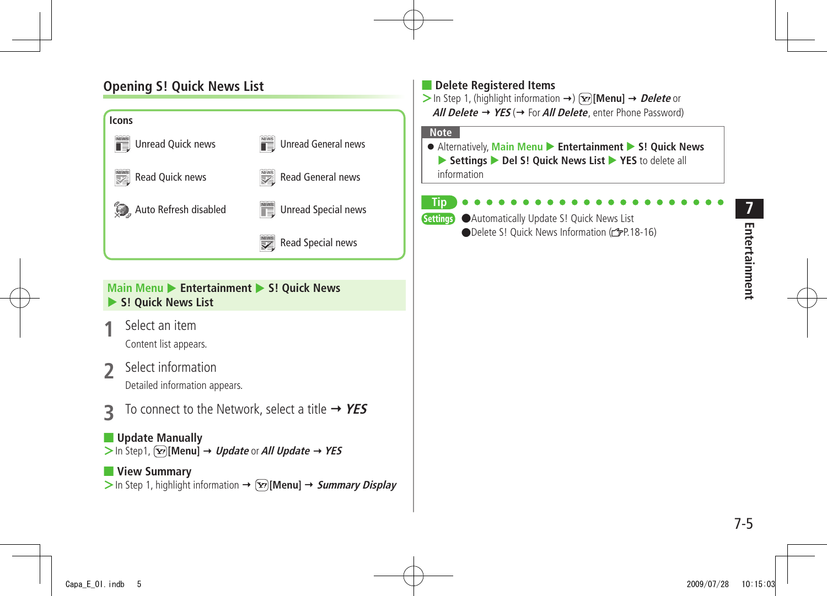### **Opening S! Quick News List**



#### **Main Menu > Entertainment > S! Quick News S! Quick News List**

- **1** Select an item Content list appears.
- **2** Select information Detailed information appears.
- **3** To connect to the Network, select a title **YES**

■ **Update Manually**  $>$  In Step1,  $\overline{Y}$ [Menu]  $\rightarrow$  *Update* or *All Update*  $\rightarrow$  YES

#### ■ **View Summary**  $>$  In Step 1, highlight information  $\rightarrow \sqrt{Y}$  [Menu]  $\rightarrow$  *Summary Display*

#### ■ **Delete Registered Items**  $>$  In Step 1, (highlight information  $\rightarrow$ ) **[Menul**  $\rightarrow$  *Delete* or **All Delete**  $\rightarrow$  **YES** ( $\rightarrow$  For **All Delete**, enter Phone Password)

#### **Note**

● Alternatively, Main Menu ▶ Entertainment ▶ S! Ouick News ▶ Settings ▶ Del S! Quick News List ▶ YES to delete all information

#### **Tip**

Settings ●Automatically Update S! Quick News List **ODelete S! Quick News Information (PP.18-16)**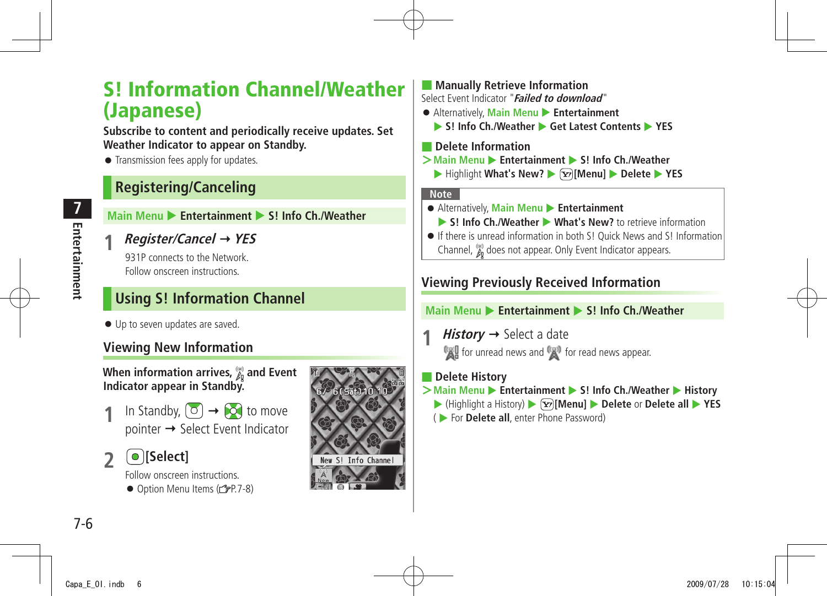## <span id="page-5-0"></span>**S! Information Channel/Weather (Japanese)**

**Subscribe to content and periodically receive updates. Set Weather Indicator to appear on Standby.**

● Transmission fees apply for updates.

### **Registering/Canceling**

**Main Menu ▶ Entertainment ▶ S! Info Ch./Weather** 

**1 Register/Cancel YES**

931P connects to the Network. Follow onscreen instructions.

### **Using S! Information Channel**

● Up to seven updates are saved.

### **Viewing New Information**

When information arrives,  $\frac{\omega_0}{\hbar}$  and Event **Indicator appear in Standby.**

In Standby,  $\left( \circ \right) \rightarrow \left( \circ \right)$  to move  $pointer \rightarrow Select$  Event Indicator

**2 [Select]**

Follow onscreen instructions.  $\bullet$  Option Menu Items ( $\leq P.7-8$ )



#### ■ **Manually Retrieve Information** Select Event Indicator "**Failed to download**"

- Alternatively, **Main Menu ▶ Entertainment** 
	- ▶ S! Info Ch./Weather ▶ Get Latest Contents ▶ YES

■ **Delete Information**

- $>$ **Main Menu** ▶ **Entertainment ▶ S! Info Ch./Weather** 
	- ▶ Highlight What's New? ▶  $\boxed{\mathbf{x}}$  [Menu] ▶ Delete ▶ YES

#### **Note**

- Alternatively, **Main Menu** X **Entertainment**
	- ▶ S! Info Ch./Weather ▶ What's New? to retrieve information
- If there is unread information in both S! Quick News and S! Information Channel,  $\mathcal{E}_{\text{e}}$  does not appear. Only Event Indicator appears.

### **Viewing Previously Received Information**

#### **Main Menu ▶ Entertainment ▶ S! Info Ch./Weather**

*History*  $\rightarrow$  Select a date **for unread news and for read news appear.** 

### ■ **Delete History**

- >**Main Menu** ▶ **Entertainment** ▶ S! Info Ch./Weather ▶ History
	- ▶ (Highlight a History) ▶  $\boxed{\mathbf{x}}$  **[Menu]** ▶ **Delete** or **Delete all** ▶ YES
	- ( X For **Delete all**, enter Phone Password)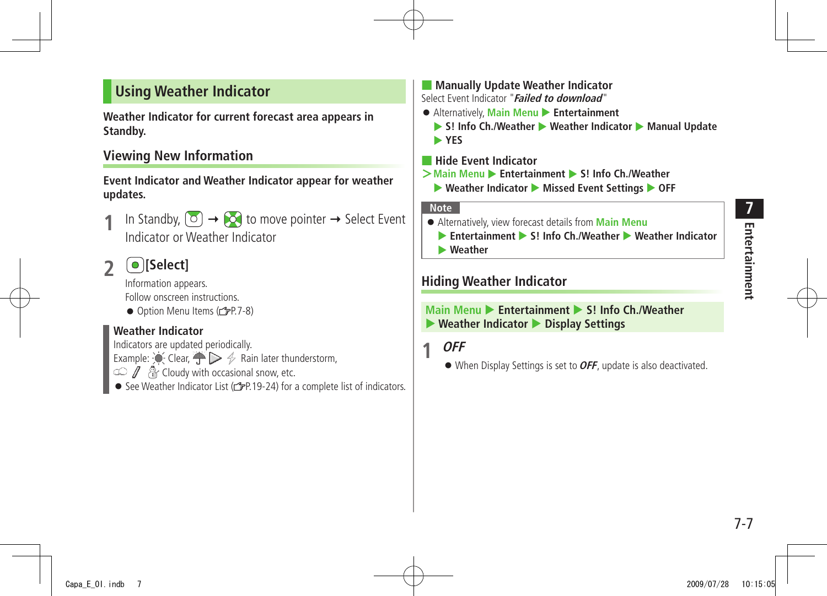### <span id="page-6-0"></span>**Using Weather Indicator**

**Weather Indicator for current forecast area appears in Standby.**

### **Viewing New Information**

**Event Indicator and Weather Indicator appear for weather updates.**

- In Standby,  $\begin{pmatrix} 0 \end{pmatrix} \rightarrow \begin{pmatrix} 0 \end{pmatrix}$  to move pointer  $\rightarrow$  Select Event Indicator or Weather Indicator
- **2 [Select]**

Information appears. Follow onscreen instructions.

● Option Menu Items (c 子P.7-8)

#### **Weather Indicator**

Indicators are updated periodically. Example:  $\bigcirc$  Clear,  $\bigcirc$   $\triangleright$   $\neq$  Rain later thunderstorm,  $\circ$  /  $\circ$  Cloudy with occasional snow, etc. • See Weather Indicator List ( $\mathscr{P}$ P.19-24) for a complete list of indicators.

■ **Manually Update Weather Indicator** Select Event Indicator "**Failed to download**"

- Alternatively, **Main Menu** X **Entertainment**
	- ▶ S! Info Ch./Weather ▶ Weather Indicator ▶ Manual Update X **YES**
- **Hide Event Indicator**
- $>$ **Main Menu ▶ Entertainment ▶ S! Info Ch./Weather** 
	- ▶ Weather Indicator ▶ Missed Event Settings ▶ OFF

#### **Note**

- Alternatively, view forecast details from **Main Menu**
	- **Entertainment S! Info Ch./Weather** Weather Indicator
	- X **Weather**

### **Hiding Weather Indicator**

#### **Main Menu > Entertainment > S! Info Ch /Weather** X **Weather Indicator** X **Display Settings**

### **1 OFF**

● When Display Settings is set to **OFF**, update is also deactivated.